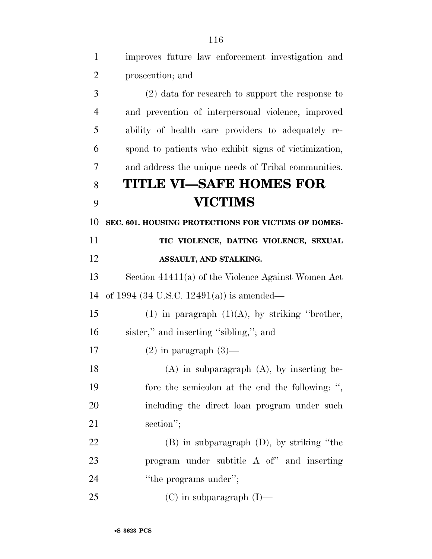| $\mathbf{1}$   | improves future law enforcement investigation and     |
|----------------|-------------------------------------------------------|
| $\overline{2}$ | prosecution; and                                      |
| 3              | $(2)$ data for research to support the response to    |
| $\overline{4}$ | and prevention of interpersonal violence, improved    |
| 5              | ability of health care providers to adequately re-    |
| 6              | spond to patients who exhibit signs of victimization, |
| 7              | and address the unique needs of Tribal communities.   |
| 8              | <b>TITLE VI-SAFE HOMES FOR</b>                        |
| 9              | <b>VICTIMS</b>                                        |
| 10             | SEC. 601. HOUSING PROTECTIONS FOR VICTIMS OF DOMES-   |
| 11             | TIC VIOLENCE, DATING VIOLENCE, SEXUAL                 |
| 12             | ASSAULT, AND STALKING.                                |
| 13             | Section 41411(a) of the Violence Against Women Act    |
| 14             | of 1994 (34 U.S.C. 12491(a)) is amended—              |
| 15             | (1) in paragraph $(1)(A)$ , by striking "brother,     |
| 16             | sister," and inserting "sibling,"; and                |
| 17             | $(2)$ in paragraph $(3)$ —                            |
| 18             | $(A)$ in subparagraph $(A)$ , by inserting be-        |
| 19             | fore the semicolon at the end the following: ",       |
| 20             | including the direct loan program under such          |
| 21             | section";                                             |
| 22             | $(B)$ in subparagraph $(D)$ , by striking "the        |
| 23             | program under subtitle A of" and inserting            |
| 24             | "the programs under";                                 |
| 25             | $(C)$ in subparagraph $(I)$ —                         |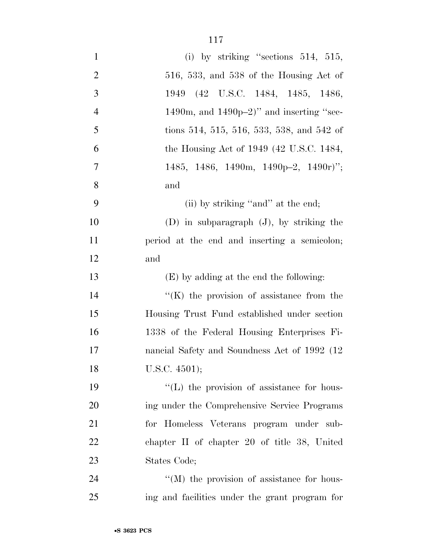| $\mathbf{1}$   | (i) by striking "sections $514$ , $515$ ,         |
|----------------|---------------------------------------------------|
| $\overline{2}$ | $516, 533,$ and $538$ of the Housing Act of       |
| 3              | 1949 (42 U.S.C. 1484, 1485, 1486,                 |
| $\overline{4}$ | 1490m, and $1490p-2$ )" and inserting "sec-       |
| 5              | tions 514, 515, 516, 533, 538, and 542 of         |
| 6              | the Housing Act of 1949 (42 U.S.C. 1484,          |
| 7              | 1485, 1486, 1490m, 1490p-2, 1490r)";              |
| 8              | and                                               |
| 9              | (ii) by striking "and" at the end;                |
| 10             | $(D)$ in subparagraph $(J)$ , by striking the     |
| 11             | period at the end and inserting a semicolon;      |
| 12             | and                                               |
| 13             | (E) by adding at the end the following:           |
| 14             | $\lq\lq$ (K) the provision of assistance from the |
| 15             | Housing Trust Fund established under section      |
| 16             | 1338 of the Federal Housing Enterprises Fi-       |
| 17             | nancial Safety and Soundness Act of 1992 (12)     |
| 18             | U.S.C. 4501);                                     |
| 19             | $\lq\lq$ . The provision of assistance for hous-  |
| 20             | ing under the Comprehensive Service Programs      |
| 21             | for Homeless Veterans program under sub-          |
| 22             | chapter II of chapter 20 of title 38, United      |
| 23             | States Code;                                      |
| 24             | "(M) the provision of assistance for hous-        |
| 25             | ing and facilities under the grant program for    |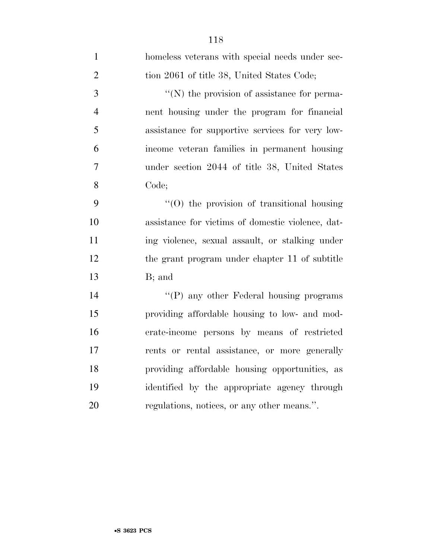| $\mathbf{1}$   | homeless veterans with special needs under sec-   |
|----------------|---------------------------------------------------|
| $\overline{2}$ | tion 2061 of title 38, United States Code;        |
| 3              | "(N) the provision of assistance for perma-       |
| $\overline{4}$ | nent housing under the program for financial      |
| 5              | assistance for supportive services for very low-  |
| 6              | income veteran families in permanent housing      |
| 7              | under section 2044 of title 38, United States     |
| 8              | Code;                                             |
| 9              | $"(0)$ the provision of transitional housing      |
| 10             | assistance for victims of domestic violence, dat- |
| 11             | ing violence, sexual assault, or stalking under   |
| 12             | the grant program under chapter 11 of subtitle    |
| 13             | B; and                                            |
| 14             | "(P) any other Federal housing programs           |
| 15             | providing affordable housing to low- and mod-     |
| 16             | erate-income persons by means of restricted       |
| 17             | rents or rental assistance, or more generally     |
| 18             | providing affordable housing opportunities, as    |
| 19             | identified by the appropriate agency through      |
| 20             | regulations, notices, or any other means.".       |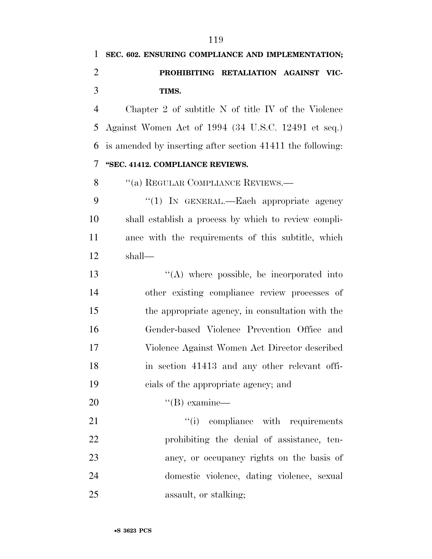Chapter 2 of subtitle N of title IV of the Violence Against Women Act of 1994 (34 U.S.C. 12491 et seq.) is amended by inserting after section 41411 the following: **''SEC. 41412. COMPLIANCE REVIEWS.** 

8 "(a) REGULAR COMPLIANCE REVIEWS.—

9 "(1) IN GENERAL.—Each appropriate agency shall establish a process by which to review compli- ance with the requirements of this subtitle, which shall—

13 ''(A) where possible, be incorporated into other existing compliance review processes of the appropriate agency, in consultation with the Gender-based Violence Prevention Office and Violence Against Women Act Director described in section 41413 and any other relevant offi-cials of the appropriate agency; and

''(B) examine—

 $(i)$  compliance with requirements prohibiting the denial of assistance, ten- ancy, or occupancy rights on the basis of domestic violence, dating violence, sexual assault, or stalking;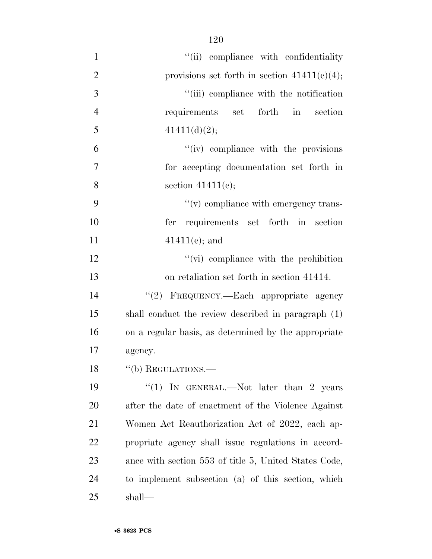| $\mathbf{1}$   | "(ii) compliance with confidentiality                 |
|----------------|-------------------------------------------------------|
| $\overline{2}$ | provisions set forth in section $41411(c)(4)$ ;       |
| 3              | "(iii) compliance with the notification               |
| $\overline{4}$ | forth<br>requirements set<br>$\sin$<br>section        |
| 5              | 41411(d)(2);                                          |
| 6              | "(iv) compliance with the provisions"                 |
| 7              | for accepting documentation set forth in              |
| 8              | section $41411(e)$ ;                                  |
| 9              | $\lq\lq$ compliance with emergency trans-             |
| 10             | fer requirements set forth in section                 |
| 11             | $41411(e)$ ; and                                      |
| 12             | $\lq\lq$ (vi) compliance with the prohibition         |
| 13             | on retaliation set forth in section 41414.            |
| 14             | "(2) FREQUENCY.—Each appropriate agency               |
| 15             | shall conduct the review described in paragraph (1)   |
| 16             | on a regular basis, as determined by the appropriate  |
| 17             | agency.                                               |
| 18             | $``$ (b) REGULATIONS.—                                |
| 19             | "(1) IN GENERAL.—Not later than 2 years               |
| 20             | after the date of enactment of the Violence Against   |
| 21             | Women Act Reauthorization Act of 2022, each ap-       |
| <u>22</u>      | propriate agency shall issue regulations in accord-   |
| 23             | ance with section 553 of title 5, United States Code, |
| 24             | to implement subsection (a) of this section, which    |
| 25             | shall—                                                |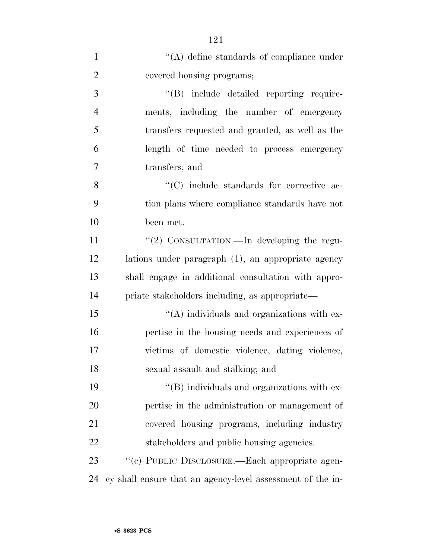| $\mathbf{1}$   | $\lq\lq$ define standards of compliance under              |
|----------------|------------------------------------------------------------|
| $\overline{2}$ | covered housing programs;                                  |
| 3              | "(B) include detailed reporting require-                   |
| $\overline{4}$ | ments, including the number of emergency                   |
| 5              | transfers requested and granted, as well as the            |
| 6              | length of time needed to process emergency                 |
| 7              | transfers; and                                             |
| 8              | "(C) include standards for corrective ac-                  |
| 9              | tion plans where compliance standards have not             |
| 10             | been met.                                                  |
| 11             | "(2) CONSULTATION.—In developing the regu-                 |
| 12             | lations under paragraph (1), an appropriate agency         |
| 13             | shall engage in additional consultation with appro-        |
| 14             | priate stakeholders including, as appropriate—             |
| 15             | "(A) individuals and organizations with ex-                |
| 16             | pertise in the housing needs and experiences of            |
| 17             | victims of domestic violence, dating violence,             |
| 18             | sexual assault and stalking; and                           |
| 19             | $\lq\lq$ (B) individuals and organizations with ex-        |
| 20             | pertise in the administration or management of             |
| 21             | covered housing programs, including industry               |
| 22             | stakeholders and public housing agencies.                  |
| 23             | "(c) PUBLIC DISCLOSURE.—Each appropriate agen-             |
| 24             | cy shall ensure that an agency-level assessment of the in- |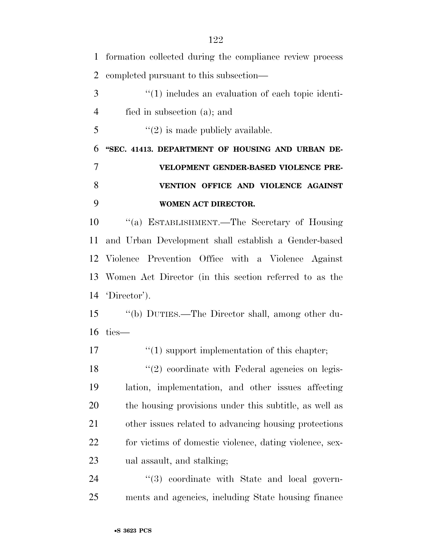formation collected during the compliance review process completed pursuant to this subsection— 3 (1) includes an evaluation of each topic identi- fied in subsection (a); and ''(2) is made publicly available. **''SEC. 41413. DEPARTMENT OF HOUSING AND URBAN DE- VELOPMENT GENDER-BASED VIOLENCE PRE- VENTION OFFICE AND VIOLENCE AGAINST WOMEN ACT DIRECTOR.**  ''(a) ESTABLISHMENT.—The Secretary of Housing and Urban Development shall establish a Gender-based Violence Prevention Office with a Violence Against Women Act Director (in this section referred to as the 'Director'). ''(b) DUTIES.—The Director shall, among other du- ties—  $\frac{17}{2}$  (1) support implementation of this chapter; 18 ''(2) coordinate with Federal agencies on legis- lation, implementation, and other issues affecting the housing provisions under this subtitle, as well as other issues related to advancing housing protections for victims of domestic violence, dating violence, sex- ual assault, and stalking;  $(3)$  coordinate with State and local govern-

ments and agencies, including State housing finance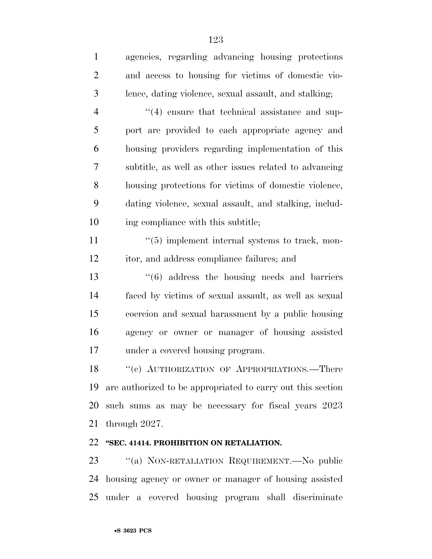| $\mathbf{1}$   | agencies, regarding advancing housing protections           |
|----------------|-------------------------------------------------------------|
| $\overline{2}$ | and access to housing for victims of domestic vio-          |
| 3              | lence, dating violence, sexual assault, and stalking;       |
| $\overline{4}$ | $\cdot$ (4) ensure that technical assistance and sup-       |
| 5              | port are provided to each appropriate agency and            |
| 6              | housing providers regarding implementation of this          |
| 7              | subtitle, as well as other issues related to advancing      |
| $8\,$          | housing protections for victims of domestic violence,       |
| 9              | dating violence, sexual assault, and stalking, includ-      |
| 10             | ing compliance with this subtitle;                          |
| 11             | $\lq(5)$ implement internal systems to track, mon-          |
| 12             | itor, and address compliance failures; and                  |
| 13             | $\cdot\cdot\cdot(6)$ address the housing needs and barriers |
| 14             | faced by victims of sexual assault, as well as sexual       |
| 15             | coercion and sexual harassment by a public housing          |
| 16             | agency or owner or manager of housing assisted              |
| 17             | under a covered housing program.                            |
| 18             | "(c) AUTHORIZATION OF APPROPRIATIONS.—There                 |
| 19             | are authorized to be appropriated to carry out this section |
| 20             | such sums as may be necessary for fiscal years 2023         |
| 21             | through $2027$ .                                            |

#### **''SEC. 41414. PROHIBITION ON RETALIATION.**

 ''(a) NON-RETALIATION REQUIREMENT.—No public housing agency or owner or manager of housing assisted under a covered housing program shall discriminate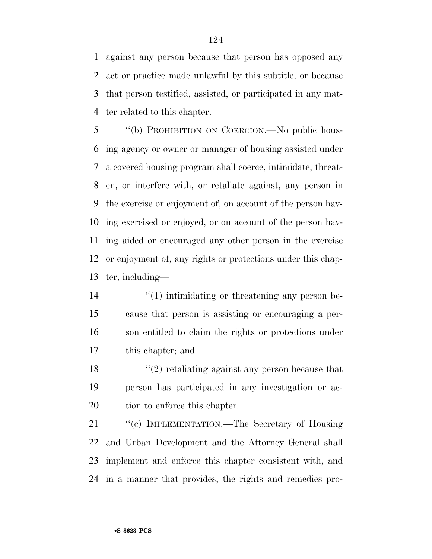against any person because that person has opposed any act or practice made unlawful by this subtitle, or because that person testified, assisted, or participated in any mat-ter related to this chapter.

 ''(b) PROHIBITION ON COERCION.—No public hous- ing agency or owner or manager of housing assisted under a covered housing program shall coerce, intimidate, threat- en, or interfere with, or retaliate against, any person in the exercise or enjoyment of, on account of the person hav- ing exercised or enjoyed, or on account of the person hav- ing aided or encouraged any other person in the exercise or enjoyment of, any rights or protections under this chap-ter, including—

 $\frac{1}{2}$  (1) intimidating or threatening any person be- cause that person is assisting or encouraging a per- son entitled to claim the rights or protections under this chapter; and

 ''(2) retaliating against any person because that person has participated in any investigation or ac-tion to enforce this chapter.

21 "(c) IMPLEMENTATION.—The Secretary of Housing and Urban Development and the Attorney General shall implement and enforce this chapter consistent with, and in a manner that provides, the rights and remedies pro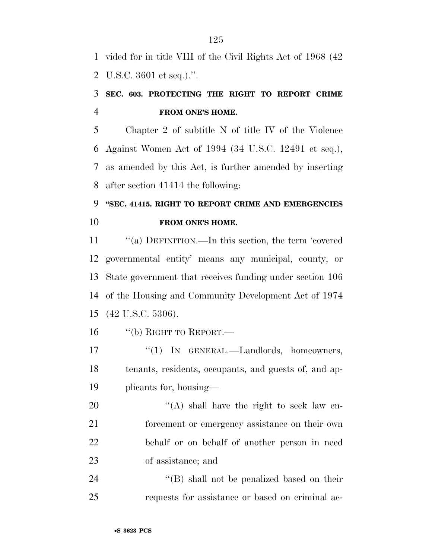vided for in title VIII of the Civil Rights Act of 1968 (42 U.S.C. 3601 et seq.).''.

### **SEC. 603. PROTECTING THE RIGHT TO REPORT CRIME FROM ONE'S HOME.**

 Chapter 2 of subtitle N of title IV of the Violence Against Women Act of 1994 (34 U.S.C. 12491 et seq.), as amended by this Act, is further amended by inserting after section 41414 the following:

# **''SEC. 41415. RIGHT TO REPORT CRIME AND EMERGENCIES FROM ONE'S HOME.**

 ''(a) DEFINITION.—In this section, the term 'covered governmental entity' means any municipal, county, or State government that receives funding under section 106 of the Housing and Community Development Act of 1974 (42 U.S.C. 5306).

''(b) RIGHT TO REPORT.—

17 "(1) IN GENERAL.—Landlords, homeowners, tenants, residents, occupants, and guests of, and ap-plicants for, housing—

20 "(A) shall have the right to seek law en- forcement or emergency assistance on their own behalf or on behalf of another person in need of assistance; and

24 ''(B) shall not be penalized based on their requests for assistance or based on criminal ac-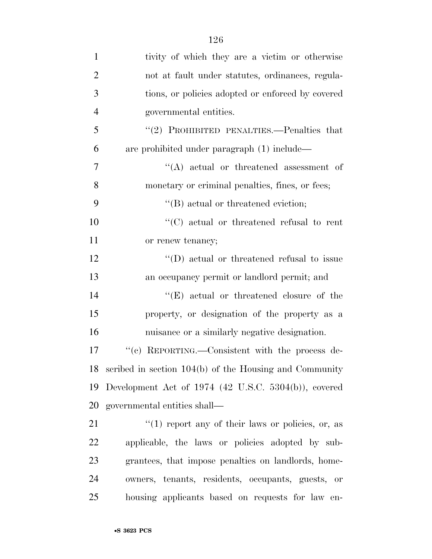| $\mathbf{1}$   | tivity of which they are a victim or otherwise         |
|----------------|--------------------------------------------------------|
| $\overline{2}$ | not at fault under statutes, ordinances, regula-       |
| 3              | tions, or policies adopted or enforced by covered      |
| $\overline{4}$ | governmental entities.                                 |
| 5              | "(2) PROHIBITED PENALTIES.—Penalties that              |
| 6              | are prohibited under paragraph (1) include—            |
| $\overline{7}$ | $\lq\lq$ actual or threatened assessment of            |
| 8              | monetary or criminal penalties, fines, or fees;        |
| 9              | $\lq\lq$ (B) actual or threatened eviction;            |
| 10             | $\lq\lq$ (C) actual or threatened refusal to rent      |
| 11             | or renew tenancy;                                      |
| 12             | $\lq\lq$ (D) actual or threatened refusal to issue     |
| 13             | an occupancy permit or landlord permit; and            |
| 14             | $\lq\lq(E)$ actual or threatened closure of the        |
| 15             | property, or designation of the property as a          |
| 16             | nuisance or a similarly negative designation.          |
| 17             | "(c) REPORTING.—Consistent with the process de-        |
| 18             | scribed in section 104(b) of the Housing and Community |
| 19             | Development Act of $1974$ (42 U.S.C. 5304(b)), covered |
| 20             | governmental entities shall—                           |
| 21             | $\lq(1)$ report any of their laws or policies, or, as  |
| 22             | applicable, the laws or policies adopted by sub-       |
| 23             | grantees, that impose penalties on landlords, home-    |
| 24             | owners, tenants, residents, occupants, guests,<br>- or |
| 25             | housing applicants based on requests for law en-       |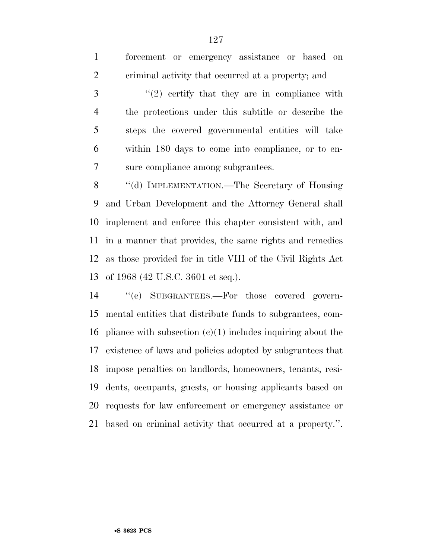| $\mathbf{1}$   | forcement or emergency assistance or based on                  |
|----------------|----------------------------------------------------------------|
| $\overline{2}$ | eriminal activity that occurred at a property; and             |
| 3              | $\lq(2)$ certify that they are in compliance with              |
| $\overline{4}$ | the protections under this subtitle or describe the            |
| 5              | steps the covered governmental entities will take              |
| 6              | within 180 days to come into compliance, or to en-             |
| 7              | sure compliance among subgrantees.                             |
| 8              | "(d) IMPLEMENTATION.—The Secretary of Housing                  |
| 9              | and Urban Development and the Attorney General shall           |
| 10             | implement and enforce this chapter consistent with, and        |
|                | 11 in a manner that provides, the same rights and remedies     |
|                | 12 as those provided for in title VIII of the Civil Rights Act |
| 13             | of 1968 (42 U.S.C. 3601 et seq.).                              |
| 14             | "(e) SUBGRANTEES.—For those covered govern-                    |
| 15             | mental entities that distribute funds to subgrantees, com-     |
|                |                                                                |

16 pliance with subsection  $(c)(1)$  includes inquiring about the existence of laws and policies adopted by subgrantees that impose penalties on landlords, homeowners, tenants, resi- dents, occupants, guests, or housing applicants based on requests for law enforcement or emergency assistance or based on criminal activity that occurred at a property.''.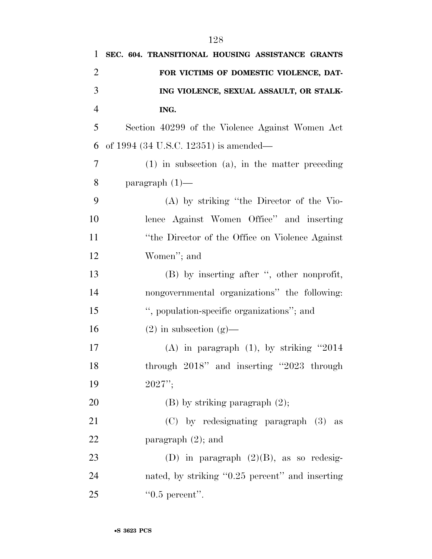| 1              | SEC. 604. TRANSITIONAL HOUSING ASSISTANCE GRANTS    |
|----------------|-----------------------------------------------------|
| $\overline{2}$ | FOR VICTIMS OF DOMESTIC VIOLENCE, DAT-              |
| 3              | ING VIOLENCE, SEXUAL ASSAULT, OR STALK-             |
| $\overline{4}$ | ING.                                                |
| 5              | Section 40299 of the Violence Against Women Act     |
| 6              | of 1994 (34 U.S.C. 12351) is amended—               |
| 7              | $(1)$ in subsection $(a)$ , in the matter preceding |
| 8              | paragraph $(1)$ —                                   |
| 9              | (A) by striking "the Director of the Vio-           |
| 10             | lence Against Women Office" and inserting           |
| 11             | "the Director of the Office on Violence Against     |
| 12             | Women"; and                                         |
| 13             | (B) by inserting after ", other nonprofit,          |
| 14             | nongovernmental organizations" the following:       |
| 15             | ", population-specific organizations"; and          |
| 16             | $(2)$ in subsection $(g)$ —                         |
| 17             | (A) in paragraph $(1)$ , by striking "2014          |
| 18             | through 2018" and inserting "2023 through           |
| 19             | $2027$ ";                                           |
| 20             | $(B)$ by striking paragraph $(2)$ ;                 |
| 21             | (C) by redesignating paragraph (3) as               |
| 22             | paragraph $(2)$ ; and                               |
| 23             | (D) in paragraph $(2)(B)$ , as so redesig-          |
| 24             | nated, by striking "0.25 percent" and inserting     |
| 25             | $"0.5$ percent".                                    |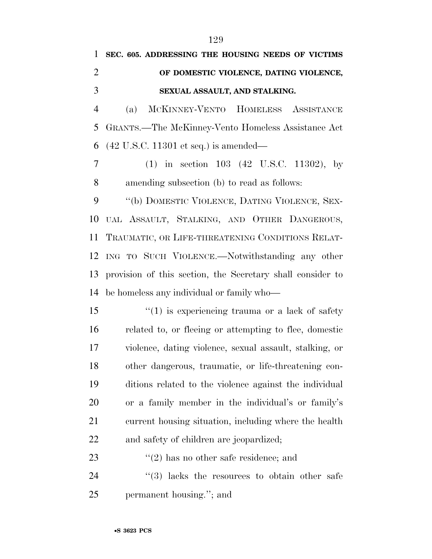|                | SEC. 605. ADDRESSING THE HOUSING NEEDS OF VICTIMS          |
|----------------|------------------------------------------------------------|
| 2              | OF DOMESTIC VIOLENCE, DATING VIOLENCE,                     |
| 3              | SEXUAL ASSAULT, AND STALKING.                              |
| $\overline{4}$ | MCKINNEY-VENTO HOMELESS ASSISTANCE<br>(a)                  |
|                | 5 GRANTS.—The McKinney-Vento Homeless Assistance Act       |
|                | 6 $(42 \text{ U.S.C. } 11301 \text{ et seq.})$ is amended— |
|                | $(1)$ in section 103 $(42 \text{ U.S.C. } 11302)$ , by     |

amending subsection (b) to read as follows:

9 "(b) DOMESTIC VIOLENCE, DATING VIOLENCE, SEX- UAL ASSAULT, STALKING, AND OTHER DANGEROUS, TRAUMATIC, OR LIFE-THREATENING CONDITIONS RELAT- ING TO SUCH VIOLENCE.—Notwithstanding any other provision of this section, the Secretary shall consider to be homeless any individual or family who—

 $\frac{1}{2}$  (1) is experiencing trauma or a lack of safety related to, or fleeing or attempting to flee, domestic violence, dating violence, sexual assault, stalking, or other dangerous, traumatic, or life-threatening con- ditions related to the violence against the individual or a family member in the individual's or family's current housing situation, including where the health and safety of children are jeopardized;

23  $(2)$  has no other safe residence; and

24  $\frac{1}{2}$  (3) lacks the resources to obtain other safe permanent housing.''; and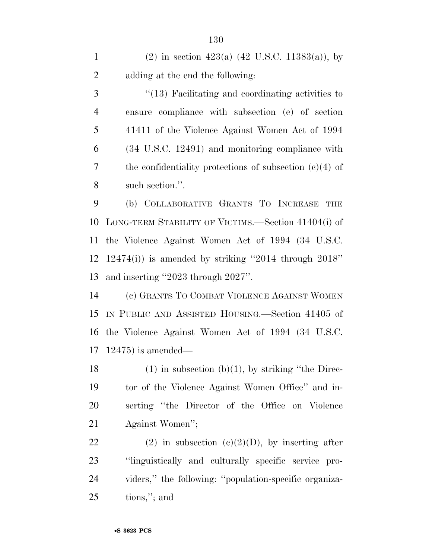1 (2) in section 423(a)  $(42 \text{ U.S.C. } 11383(a))$ , by adding at the end the following:

3 ''(13) Facilitating and coordinating activities to ensure compliance with subsection (e) of section 41411 of the Violence Against Women Act of 1994 (34 U.S.C. 12491) and monitoring compliance with the confidentiality protections of subsection (c)(4) of such section.''.

 (b) COLLABORATIVE GRANTS TO INCREASE THE LONG-TERM STABILITY OF VICTIMS.—Section 41404(i) of the Violence Against Women Act of 1994 (34 U.S.C. 12474(i)) is amended by striking ''2014 through 2018'' and inserting ''2023 through 2027''.

 (c) GRANTS TO COMBAT VIOLENCE AGAINST WOMEN IN PUBLIC AND ASSISTED HOUSING.—Section 41405 of the Violence Against Women Act of 1994 (34 U.S.C. 12475) is amended—

18 (1) in subsection (b)(1), by striking "the Direc- tor of the Violence Against Women Office'' and in- serting ''the Director of the Office on Violence Against Women'';

22 (2) in subsection  $(c)(2)(D)$ , by inserting after ''linguistically and culturally specific service pro- viders,'' the following: ''population-specific organiza-tions,''; and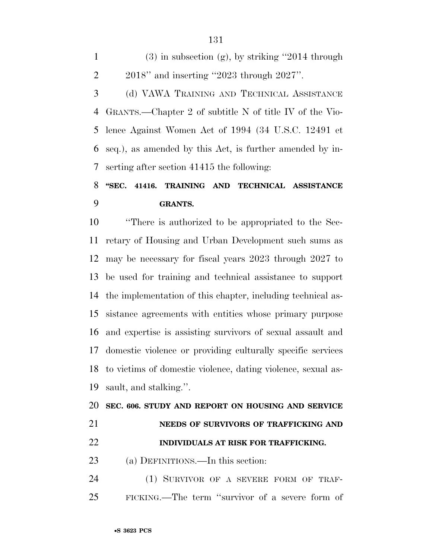1 (3) in subsection (g), by striking  $"2014$  through 2018'' and inserting ''2023 through 2027''.

 (d) VAWA TRAINING AND TECHNICAL ASSISTANCE GRANTS.—Chapter 2 of subtitle N of title IV of the Vio- lence Against Women Act of 1994 (34 U.S.C. 12491 et seq.), as amended by this Act, is further amended by in-serting after section 41415 the following:

# **''SEC. 41416. TRAINING AND TECHNICAL ASSISTANCE GRANTS.**

 ''There is authorized to be appropriated to the Sec- retary of Housing and Urban Development such sums as may be necessary for fiscal years 2023 through 2027 to be used for training and technical assistance to support the implementation of this chapter, including technical as- sistance agreements with entities whose primary purpose and expertise is assisting survivors of sexual assault and domestic violence or providing culturally specific services to victims of domestic violence, dating violence, sexual as-sault, and stalking.''.

#### **SEC. 606. STUDY AND REPORT ON HOUSING AND SERVICE**

**NEEDS OF SURVIVORS OF TRAFFICKING AND** 

#### **INDIVIDUALS AT RISK FOR TRAFFICKING.**

- (a) DEFINITIONS.—In this section:
- (1) SURVIVOR OF A SEVERE FORM OF TRAF-FICKING.—The term ''survivor of a severe form of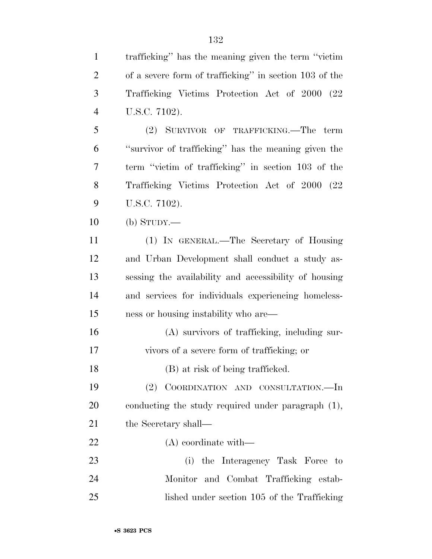trafficking'' has the meaning given the term ''victim of a severe form of trafficking'' in section 103 of the Trafficking Victims Protection Act of 2000 (22 U.S.C. 7102). (2) SURVIVOR OF TRAFFICKING.—The term ''survivor of trafficking'' has the meaning given the term ''victim of trafficking'' in section 103 of the Trafficking Victims Protection Act of 2000 (22 U.S.C. 7102). (b) STUDY.— (1) IN GENERAL.—The Secretary of Housing and Urban Development shall conduct a study as- sessing the availability and accessibility of housing and services for individuals experiencing homeless- ness or housing instability who are— (A) survivors of trafficking, including sur- vivors of a severe form of trafficking; or 18 (B) at risk of being trafficked. (2) COORDINATION AND CONSULTATION.—In conducting the study required under paragraph (1), 21 the Secretary shall— (A) coordinate with— (i) the Interagency Task Force to Monitor and Combat Trafficking estab-lished under section 105 of the Trafficking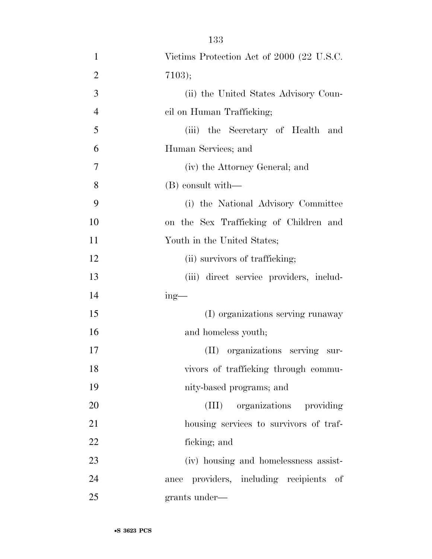| $\mathbf{1}$   | Victims Protection Act of 2000 (22 U.S.C.  |
|----------------|--------------------------------------------|
| $\overline{2}$ | 7103);                                     |
| 3              | (ii) the United States Advisory Coun-      |
| $\overline{4}$ | cil on Human Trafficking;                  |
| 5              | (iii) the Secretary of Health and          |
| 6              | Human Services; and                        |
| 7              | (iv) the Attorney General; and             |
| 8              | (B) consult with—                          |
| 9              | (i) the National Advisory Committee        |
| 10             | on the Sex Trafficking of Children and     |
| 11             | Youth in the United States;                |
| 12             | (ii) survivors of trafficking;             |
| 13             | (iii) direct service providers, includ-    |
| 14             | $ing$ —                                    |
| 15             | (I) organizations serving runaway          |
| 16             | and homeless youth;                        |
| 17             | (II) organizations serving sur-            |
| 18             | vivors of trafficking through commu-       |
| 19             | nity-based programs; and                   |
| 20             | organizations providing<br>(III)           |
| 21             | housing services to survivors of traf-     |
| 22             | ficking; and                               |
| 23             | (iv) housing and homelessness assist-      |
| 24             | providers, including recipients of<br>ance |
| 25             | grants under—                              |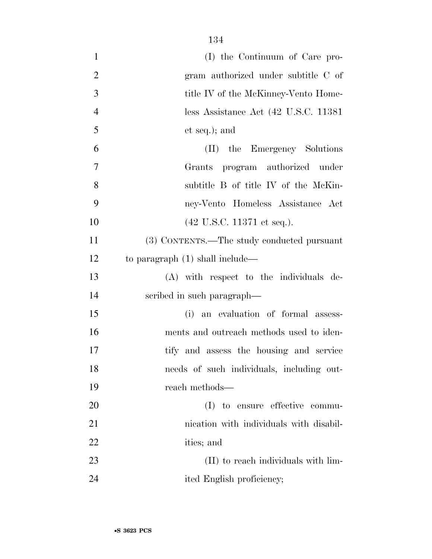| $\mathbf{1}$   | (I) the Continuum of Care pro-                |
|----------------|-----------------------------------------------|
| $\overline{2}$ | gram authorized under subtitle C of           |
| 3              | title IV of the McKinney-Vento Home-          |
| $\overline{4}$ | less Assistance Act (42 U.S.C. 11381)         |
| 5              | et seq.); and                                 |
| 6              | (II) the Emergency Solutions                  |
| 7              | Grants program authorized under               |
| 8              | subtitle B of title IV of the McKin-          |
| 9              | ney-Vento Homeless Assistance Act             |
| 10             | $(42 \text{ U.S.C. } 11371 \text{ et seq.}).$ |
| 11             | (3) CONTENTS.—The study conducted pursuant    |
| 12             | to paragraph $(1)$ shall include—             |
| 13             | (A) with respect to the individuals de-       |
| 14             | scribed in such paragraph—                    |
| 15             | (i) an evaluation of formal assess-           |
| 16             | ments and outreach methods used to iden-      |
| 17             | tify and assess the housing and service       |
| 18             | needs of such individuals, including out-     |
| 19             | reach methods—                                |
| 20             | (I) to ensure effective commu-                |
| 21             | nication with individuals with disabil-       |
| 22             | ities; and                                    |
| 23             | (II) to reach individuals with lim-           |
| 24             | ited English proficiency;                     |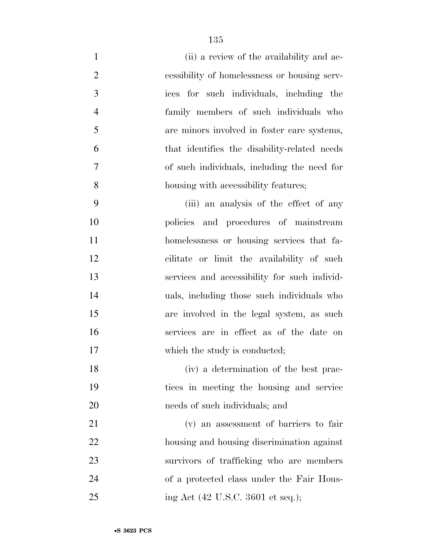- 1 (ii) a review of the availability and ac- cessibility of homelessness or housing serv- ices for such individuals, including the family members of such individuals who are minors involved in foster care systems, that identifies the disability-related needs of such individuals, including the need for housing with accessibility features;
- (iii) an analysis of the effect of any policies and procedures of mainstream homelessness or housing services that fa- cilitate or limit the availability of such services and accessibility for such individ- uals, including those such individuals who are involved in the legal system, as such services are in effect as of the date on 17 which the study is conducted;
- (iv) a determination of the best prac- tices in meeting the housing and service needs of such individuals; and
- (v) an assessment of barriers to fair housing and housing discrimination against survivors of trafficking who are members of a protected class under the Fair Hous-25 ing Act (42 U.S.C. 3601 et seq.);